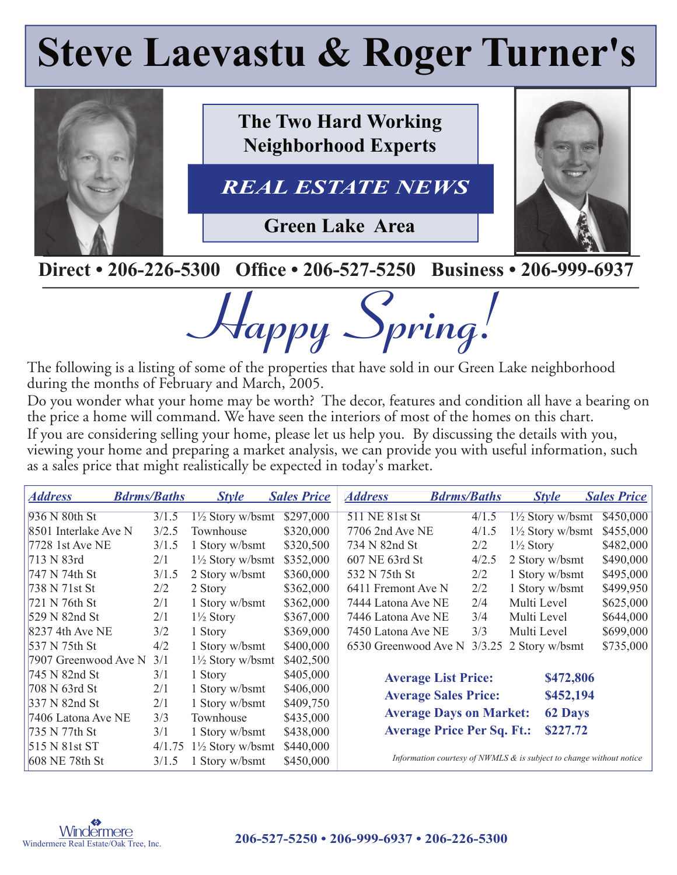# **Steve Laevastu & Roger Turner's**



**The Two Hard Working Neighborhood Experts**

REAL ESTATE NEWS *REAL ESTATE NEWS*

**Green Lake Area**



### **Direct • 206-226-5300 Office • 206-527-5250 Business • 206-999-6937**

**Happy Spring!**

The following is a listing of some of the properties that have sold in our Green Lake neighborhood during the months of February and March, 2005.

Do you wonder what your home may be worth? The decor, features and condition all have a bearing on the price a home will command. We have seen the interiors of most of the homes on this chart. If you are considering selling your home, please let us help you. By discussing the details with you, viewing your home and preparing a market analysis, we can provide you with useful information, such as a sales price that might realistically be expected in today's market.

| <b>Address</b>       | <b>Bdrms/Baths</b> | <b>Style</b>                | <b>Sales Price</b> | <b>Address</b>                    | <b>Bdrms/Baths</b> | <b>Style</b>                                                           | <b>Sales Price</b> |
|----------------------|--------------------|-----------------------------|--------------------|-----------------------------------|--------------------|------------------------------------------------------------------------|--------------------|
| 936 N 80th St        | 3/1.5              | $1\frac{1}{2}$ Story w/bsmt | \$297,000          | 511 NE 81st St                    | 4/1.5              | $1\frac{1}{2}$ Story w/bsmt                                            | \$450,000          |
| 8501 Interlake Ave N | 3/2.5              | Townhouse                   | \$320,000          | 7706 2nd Ave NE                   | 4/1.5              | $1\frac{1}{2}$ Story w/bsmt                                            | \$455,000          |
| 7728 1st Ave NE      | 3/1.5              | 1 Story w/bsmt              | \$320,500          | 734 N 82nd St                     | 2/2                | $1\frac{1}{2}$ Story                                                   | \$482,000          |
| 713 N 83rd           | 2/1                | $1\frac{1}{2}$ Story w/bsmt | \$352,000          | 607 NE 63rd St                    | 4/2.5              | 2 Story w/bsmt                                                         | \$490,000          |
| 747 N 74th St        | 3/1.5              | 2 Story w/bsmt              | \$360,000          | 532 N 75th St                     | 2/2                | 1 Story w/bsmt                                                         | \$495,000          |
| 738 N 71st St        | 2/2                | 2 Story                     | \$362,000          | 6411 Fremont Ave N                | 2/2                | 1 Story w/bsmt                                                         | \$499,950          |
| 721 N 76th St        | 2/1                | 1 Story w/bsmt              | \$362,000          | 7444 Latona Ave NE                | 2/4                | Multi Level                                                            | \$625,000          |
| 529 N 82nd St        | 2/1                | $1\frac{1}{2}$ Story        | \$367,000          | 7446 Latona Ave NE                | 3/4                | Multi Level                                                            | \$644,000          |
| 8237 4th Ave NE      | 3/2                | 1 Story                     | \$369,000          | 7450 Latona Ave NE                | 3/3                | Multi Level                                                            | \$699,000          |
| 537 N 75th St        | 4/2                | 1 Story w/bsmt              | \$400,000          | 6530 Greenwood Ave N              | 3/3.25             | 2 Story w/bsmt                                                         | \$735,000          |
| 7907 Greenwood Ave N | 3/1                | $1\frac{1}{2}$ Story w/bsmt | \$402,500          |                                   |                    |                                                                        |                    |
| 745 N 82nd St        | 3/1                | 1 Story                     | \$405,000          | <b>Average List Price:</b>        |                    | \$472,806                                                              |                    |
| 708 N 63rd St        | 2/1                | 1 Story w/bsmt              | \$406,000          | <b>Average Sales Price:</b>       |                    | \$452,194                                                              |                    |
| 337 N 82nd St        | 2/1                | 1 Story w/bsmt              | \$409,750          |                                   |                    |                                                                        |                    |
| 7406 Latona Ave NE   | 3/3                | Townhouse                   | \$435,000          | <b>Average Days on Market:</b>    |                    | <b>62 Days</b>                                                         |                    |
| 735 N 77th St        | 3/1                | 1 Story w/bsmt              | \$438,000          | <b>Average Price Per Sq. Ft.:</b> |                    | \$227.72                                                               |                    |
| 515 N 81st ST        | 4/1.75             | $1\frac{1}{2}$ Story w/bsmt | \$440,000          |                                   |                    |                                                                        |                    |
| 608 NE 78th St       | 3/1.5              | Story w/bsmt                | \$450,000          |                                   |                    | Information courtesy of NWMLS $\&$ is subject to change without notice |                    |